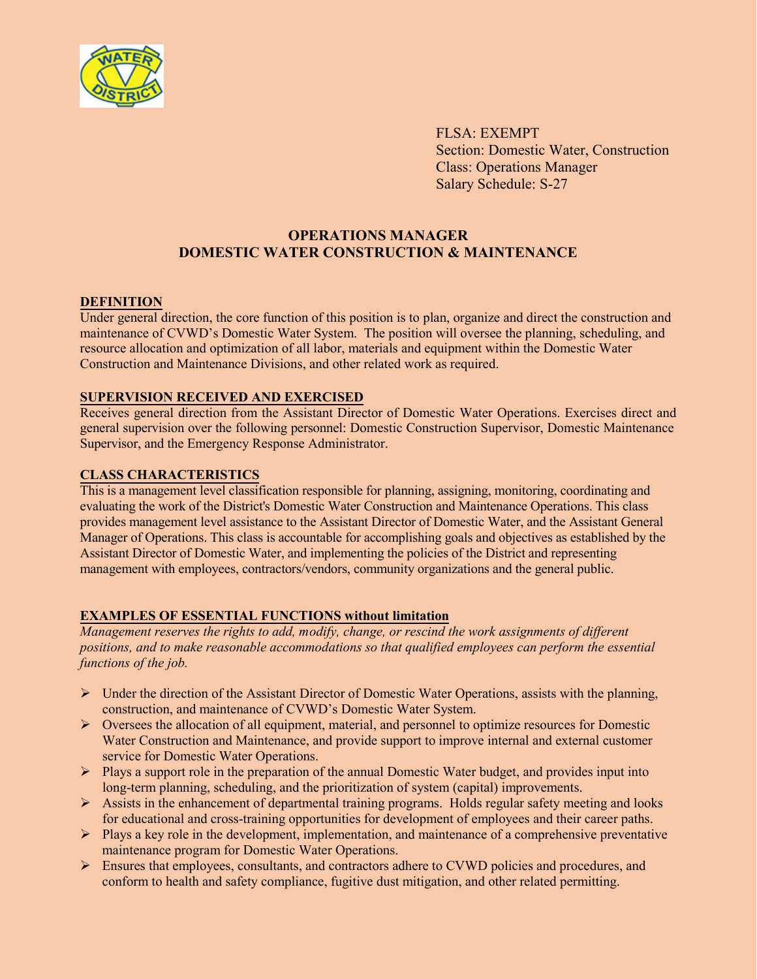

FLSA: EXEMPT Section: Domestic Water, Construction Class: Operations Manager Salary Schedule: S-27

# **OPERATIONS MANAGER DOMESTIC WATER CONSTRUCTION & MAINTENANCE**

### **DEFINITION**

Under general direction, the core function of this position is to plan, organize and direct the construction and maintenance of CVWD's Domestic Water System. The position will oversee the planning, scheduling, and resource allocation and optimization of all labor, materials and equipment within the Domestic Water Construction and Maintenance Divisions, and other related work as required.

#### **SUPERVISION RECEIVED AND EXERCISED**

Receives general direction from the Assistant Director of Domestic Water Operations. Exercises direct and general supervision over the following personnel: Domestic Construction Supervisor, Domestic Maintenance Supervisor, and the Emergency Response Administrator.

#### **CLASS CHARACTERISTICS**

This is a management level classification responsible for planning, assigning, monitoring, coordinating and evaluating the work of the District's Domestic Water Construction and Maintenance Operations. This class provides management level assistance to the Assistant Director of Domestic Water, and the Assistant General Manager of Operations. This class is accountable for accomplishing goals and objectives as established by the Assistant Director of Domestic Water, and implementing the policies of the District and representing management with employees, contractors/vendors, community organizations and the general public.

## **EXAMPLES OF ESSENTIAL FUNCTIONS without limitation**

*Management reserves the rights to add, modify, change, or rescind the work assignments of different positions, and to make reasonable accommodations so that qualified employees can perform the essential functions of the job.* 

- $\triangleright$  Under the direction of the Assistant Director of Domestic Water Operations, assists with the planning, construction, and maintenance of CVWD's Domestic Water System.
- $\triangleright$  Oversees the allocation of all equipment, material, and personnel to optimize resources for Domestic Water Construction and Maintenance, and provide support to improve internal and external customer service for Domestic Water Operations.
- $\triangleright$  Plays a support role in the preparation of the annual Domestic Water budget, and provides input into long-term planning, scheduling, and the prioritization of system (capital) improvements.
- $\triangleright$  Assists in the enhancement of departmental training programs. Holds regular safety meeting and looks for educational and cross-training opportunities for development of employees and their career paths.
- $\triangleright$  Plays a key role in the development, implementation, and maintenance of a comprehensive preventative maintenance program for Domestic Water Operations.
- $\triangleright$  Ensures that employees, consultants, and contractors adhere to CVWD policies and procedures, and conform to health and safety compliance, fugitive dust mitigation, and other related permitting.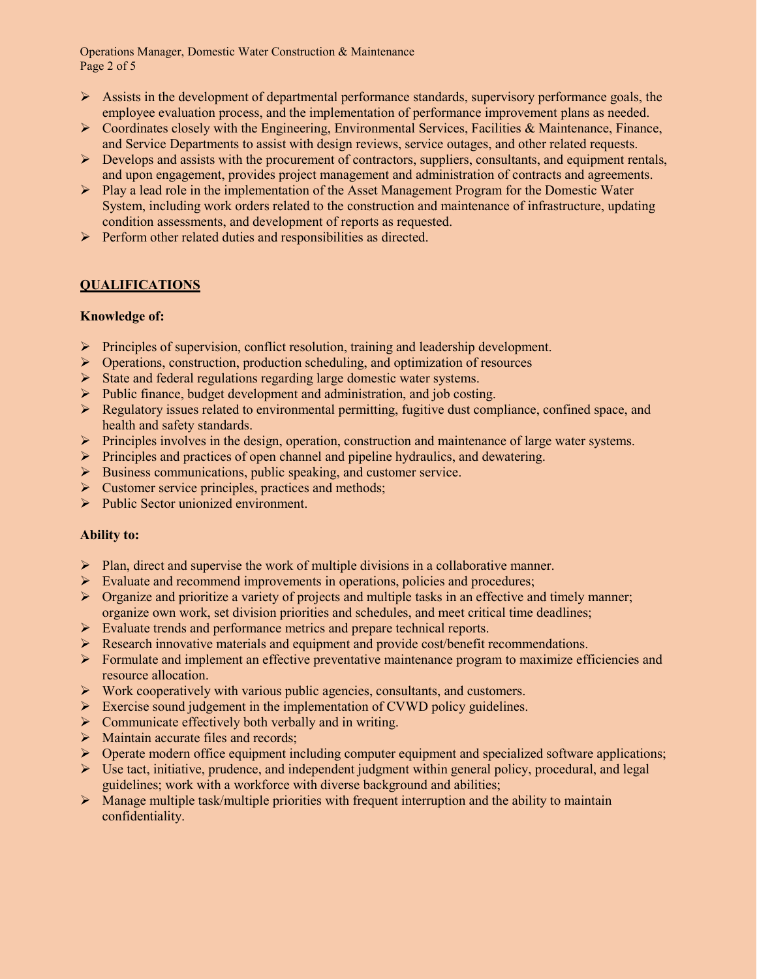Operations Manager, Domestic Water Construction & Maintenance Page 2 of 5

- $\triangleright$  Assists in the development of departmental performance standards, supervisory performance goals, the employee evaluation process, and the implementation of performance improvement plans as needed.
- $\triangleright$  Coordinates closely with the Engineering, Environmental Services, Facilities & Maintenance, Finance, and Service Departments to assist with design reviews, service outages, and other related requests.
- $\triangleright$  Develops and assists with the procurement of contractors, suppliers, consultants, and equipment rentals, and upon engagement, provides project management and administration of contracts and agreements.
- $\triangleright$  Play a lead role in the implementation of the Asset Management Program for the Domestic Water System, including work orders related to the construction and maintenance of infrastructure, updating condition assessments, and development of reports as requested.
- $\triangleright$  Perform other related duties and responsibilities as directed.

# **QUALIFICATIONS**

### **Knowledge of:**

- $\triangleright$  Principles of supervision, conflict resolution, training and leadership development.
- $\triangleright$  Operations, construction, production scheduling, and optimization of resources
- $\triangleright$  State and federal regulations regarding large domestic water systems.
- $\triangleright$  Public finance, budget development and administration, and job costing.
- $\triangleright$  Regulatory issues related to environmental permitting, fugitive dust compliance, confined space, and health and safety standards.
- Principles involves in the design, operation, construction and maintenance of large water systems.
- $\triangleright$  Principles and practices of open channel and pipeline hydraulics, and dewatering.
- Business communications, public speaking, and customer service.
- $\triangleright$  Customer service principles, practices and methods;
- Public Sector unionized environment.

## **Ability to:**

- $\triangleright$  Plan, direct and supervise the work of multiple divisions in a collaborative manner.
- $\triangleright$  Evaluate and recommend improvements in operations, policies and procedures;
- $\triangleright$  Organize and prioritize a variety of projects and multiple tasks in an effective and timely manner; organize own work, set division priorities and schedules, and meet critical time deadlines;
- Evaluate trends and performance metrics and prepare technical reports.
- Research innovative materials and equipment and provide cost/benefit recommendations.
- Formulate and implement an effective preventative maintenance program to maximize efficiencies and resource allocation.
- $\triangleright$  Work cooperatively with various public agencies, consultants, and customers.
- $\triangleright$  Exercise sound judgement in the implementation of CVWD policy guidelines.
- $\triangleright$  Communicate effectively both verbally and in writing.
- Maintain accurate files and records;
- Operate modern office equipment including computer equipment and specialized software applications;
- $\triangleright$  Use tact, initiative, prudence, and independent judgment within general policy, procedural, and legal guidelines; work with a workforce with diverse background and abilities;
- $\triangleright$  Manage multiple task/multiple priorities with frequent interruption and the ability to maintain confidentiality.